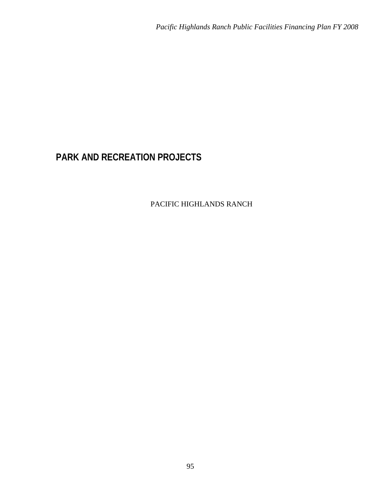# **PARK AND RECREATION PROJECTS**

PACIFIC HIGHLANDS RANCH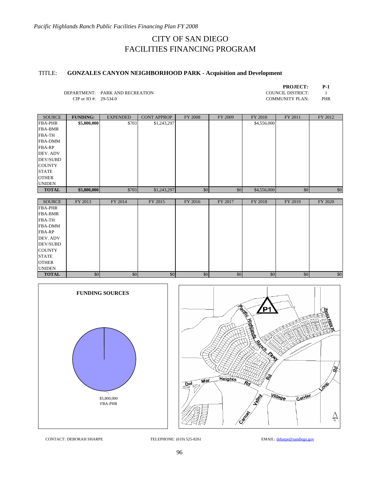# TITLE: **GONZALES CANYON NEIGHBORHOOD PARK - Acquisition and Development**

| <b>PROJECT:</b> | P-1 |
|-----------------|-----|
| _______         |     |

DEPARTMENT: PARK AND RECREATION COUNCIL DISTRICT: 1<br>CIP or JO #: 29-534.0 COMMUNITY PLAN: PHR CIP or JO #:  $29-534.0$ 

| <b>SOURCE</b>   | <b>FUNDING:</b> | <b>EXPENDED</b> | <b>CONT APPROP</b> | <b>FY 2008</b> | FY 2009 | FY 2010     | FY 2011 | FY 2012 |
|-----------------|-----------------|-----------------|--------------------|----------------|---------|-------------|---------|---------|
| <b>FBA-PHR</b>  | \$5,800,000     | \$703           | \$1,243,297        |                |         | \$4,556,000 |         |         |
| <b>FBA-BMR</b>  |                 |                 |                    |                |         |             |         |         |
| <b>FBA-TH</b>   |                 |                 |                    |                |         |             |         |         |
| <b>FBA-DMM</b>  |                 |                 |                    |                |         |             |         |         |
| <b>FBA-RP</b>   |                 |                 |                    |                |         |             |         |         |
| DEV. ADV        |                 |                 |                    |                |         |             |         |         |
| <b>DEV/SUBD</b> |                 |                 |                    |                |         |             |         |         |
| <b>COUNTY</b>   |                 |                 |                    |                |         |             |         |         |
| <b>STATE</b>    |                 |                 |                    |                |         |             |         |         |
| <b>OTHER</b>    |                 |                 |                    |                |         |             |         |         |
| <b>UNIDEN</b>   |                 |                 |                    |                |         |             |         |         |
| <b>TOTAL</b>    | \$5,800,000     | \$703           | \$1,243,297        | \$0            | \$0     | \$4,556,000 | \$0     | \$0     |

| <b>SOURCE</b>   | FY 2013 | FY 2014 | FY 2015 | FY 2016 | FY 2017 | FY 2018 | FY 2019 | FY 2020 |
|-----------------|---------|---------|---------|---------|---------|---------|---------|---------|
| <b>FBA-PHR</b>  |         |         |         |         |         |         |         |         |
| <b>FBA-BMR</b>  |         |         |         |         |         |         |         |         |
| <b>FBA-TH</b>   |         |         |         |         |         |         |         |         |
| <b>FBA-DMM</b>  |         |         |         |         |         |         |         |         |
| <b>FBA-RP</b>   |         |         |         |         |         |         |         |         |
| DEV. ADV        |         |         |         |         |         |         |         |         |
| <b>DEV/SUBD</b> |         |         |         |         |         |         |         |         |
| <b>COUNTY</b>   |         |         |         |         |         |         |         |         |
| <b>STATE</b>    |         |         |         |         |         |         |         |         |
| <b>OTHER</b>    |         |         |         |         |         |         |         |         |
| <b>UNIDEN</b>   |         |         |         |         |         |         |         |         |
| <b>TOTAL</b>    | \$0     | \$0     | \$0     | \$0     | \$0     | \$0     | \$0     | \$0     |



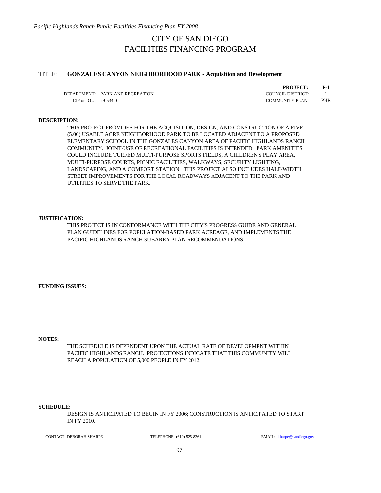*Pacific Highlands Ranch Public Facilities Financing Plan FY 2008* 

# CITY OF SAN DIEGO FACILITIES FINANCING PROGRAM

## TITLE: **GONZALES CANYON NEIGHBORHOOD PARK - Acquisition and Development**

DEPARTMENT: PARK AND RECREATION COUNCIL DISTRICT: 1 CIP or JO #: 29-534.0 COMMUNITY PLAN: PHR

**PROJECT: P-1**

### **DESCRIPTION:**

THIS PROJECT PROVIDES FOR THE ACQUISITION, DESIGN, AND CONSTRUCTION OF A FIVE (5.00) USABLE ACRE NEIGHBORHOOD PARK TO BE LOCATED ADJACENT TO A PROPOSED ELEMENTARY SCHOOL IN THE GONZALES CANYON AREA OF PACIFIC HIGHLANDS RANCH COMMUNITY. JOINT-USE OF RECREATIONAL FACILITIES IS INTENDED. PARK AMENITIES COULD INCLUDE TURFED MULTI-PURPOSE SPORTS FIELDS, A CHILDREN'S PLAY AREA, MULTI-PURPOSE COURTS, PICNIC FACILITIES, WALKWAYS, SECURITY LIGHTING, LANDSCAPING, AND A COMFORT STATION. THIS PROJECT ALSO INCLUDES HALF-WIDTH STREET IMPROVEMENTS FOR THE LOCAL ROADWAYS ADJACENT TO THE PARK AND UTILITIES TO SERVE THE PARK.

#### **JUSTIFICATION:**

THIS PROJECT IS IN CONFORMANCE WITH THE CITY'S PROGRESS GUIDE AND GENERAL PLAN GUIDELINES FOR POPULATION-BASED PARK ACREAGE, AND IMPLEMENTS THE PACIFIC HIGHLANDS RANCH SUBAREA PLAN RECOMMENDATIONS.

**FUNDING ISSUES:**

**NOTES:**

THE SCHEDULE IS DEPENDENT UPON THE ACTUAL RATE OF DEVELOPMENT WITHIN PACIFIC HIGHLANDS RANCH. PROJECTIONS INDICATE THAT THIS COMMUNITY WILL REACH A POPULATION OF 5,000 PEOPLE IN FY 2012.

#### **SCHEDULE:**

DESIGN IS ANTICIPATED TO BEGIN IN FY 2006; CONSTRUCTION IS ANTICIPATED TO START IN FY 2010.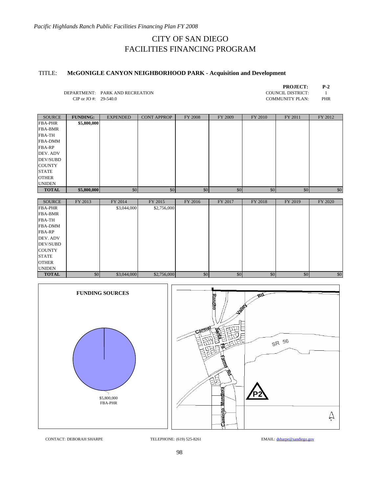# TITLE: **McGONIGLE CANYON NEIGHBORHOOD PARK - Acquisition and Development**

| <b>PROJECT:</b> | P-2 |
|-----------------|-----|
| ---------       |     |

DEPARTMENT: PARK AND RECREATION COUNCIL DISTRICT: 1<br>CIP or JO #: 29-540.0 COMUNITY PLAN: PHI CIP or JO #:  $29-540.0$ 

| 'OMMUNITY PLAN: | <b>PHR</b> |
|-----------------|------------|
|                 |            |

| SOURCE          | <b>FUNDING:</b> | <b>EXPENDED</b> | <b>CONT APPROP</b> | FY 2008 | FY 2009 | FY 2010 | FY 2011 | FY 2012 |
|-----------------|-----------------|-----------------|--------------------|---------|---------|---------|---------|---------|
| <b>FBA-PHR</b>  | \$5,800,000     |                 |                    |         |         |         |         |         |
| <b>FBA-BMR</b>  |                 |                 |                    |         |         |         |         |         |
| <b>FBA-TH</b>   |                 |                 |                    |         |         |         |         |         |
| <b>FBA-DMM</b>  |                 |                 |                    |         |         |         |         |         |
| <b>FBA-RP</b>   |                 |                 |                    |         |         |         |         |         |
| DEV. ADV        |                 |                 |                    |         |         |         |         |         |
| <b>DEV/SUBD</b> |                 |                 |                    |         |         |         |         |         |
| <b>COUNTY</b>   |                 |                 |                    |         |         |         |         |         |
| <b>STATE</b>    |                 |                 |                    |         |         |         |         |         |
| <b>OTHER</b>    |                 |                 |                    |         |         |         |         |         |
| <b>UNIDEN</b>   |                 |                 |                    |         |         |         |         |         |
| <b>TOTAL</b>    | \$5,800,000     | \$0             | \$0                | \$0     | \$0     | \$0     | \$0     | \$0     |

| <b>SOURCE</b>   | FY 2013 | FY 2014     | FY 2015     | FY 2016 | FY 2017 | FY 2018 | FY 2019 | FY 2020 |
|-----------------|---------|-------------|-------------|---------|---------|---------|---------|---------|
| <b>FBA-PHR</b>  |         | \$3,044,000 | \$2,756,000 |         |         |         |         |         |
| <b>FBA-BMR</b>  |         |             |             |         |         |         |         |         |
| <b>FBA-TH</b>   |         |             |             |         |         |         |         |         |
| <b>FBA-DMM</b>  |         |             |             |         |         |         |         |         |
| <b>FBA-RP</b>   |         |             |             |         |         |         |         |         |
| DEV. ADV        |         |             |             |         |         |         |         |         |
| <b>DEV/SUBD</b> |         |             |             |         |         |         |         |         |
| <b>COUNTY</b>   |         |             |             |         |         |         |         |         |
| <b>STATE</b>    |         |             |             |         |         |         |         |         |
| <b>OTHER</b>    |         |             |             |         |         |         |         |         |
| <b>UNIDEN</b>   |         |             |             |         |         |         |         |         |
| <b>TOTAL</b>    | \$0     | \$3,044,000 | \$2,756,000 | \$0     | \$0     | \$0     | \$0     | \$0     |

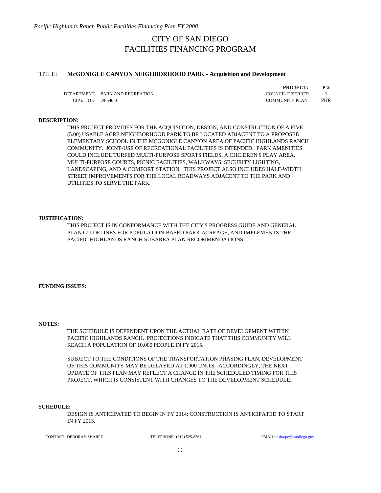### TITLE: **McGONIGLE CANYON NEIGHBORHOOD PARK - Acquisition and Development**

DEPARTMENT: PARK AND RECREATION COUNCIL DISTRICT: 1 CIP or JO #: 29-540.0 COMMUNITY PLAN: PHR

**PROJECT: P-2**

### **DESCRIPTION:**

THIS PROJECT PROVIDES FOR THE ACQUISITION, DESIGN, AND CONSTRUCTION OF A FIVE (5.00) USABLE ACRE NEIGHBORHOOD PARK TO BE LOCATED ADJACENT TO A PROPOSED ELEMENTARY SCHOOL IN THE MCGONIGLE CANYON AREA OF PACIFIC HIGHLANDS RANCH COMMUNITY. JOINT-USE OF RECREATIONAL FACILITIES IS INTENDED. PARK AMENITIES COULD INCLUDE TURFED MULTI-PURPOSE SPORTS FIELDS, A CHILDREN'S PLAY AREA, MULTI-PURPOSE COURTS, PICNIC FACILITIES, WALKWAYS, SECURITY LIGHTING, LANDSCAPING, AND A COMFORT STATION. THIS PROJECT ALSO INCLUDES HALF-WIDTH STREET IMPROVEMENTS FOR THE LOCAL ROADWAYS ADJACENT TO THE PARK AND UTILITIES TO SERVE THE PARK.

#### **JUSTIFICATION:**

THIS PROJECT IS IN CONFORMANCE WITH THE CITY'S PROGRESS GUIDE AND GENERAL PLAN GUIDELINES FOR POPULATION-BASED PARK ACREAGE, AND IMPLEMENTS THE PACIFIC HIGHLANDS RANCH SUBAREA PLAN RECOMMENDATIONS.

**FUNDING ISSUES:**

### **NOTES:**

THE SCHEDULE IS DEPENDENT UPON THE ACTUAL RATE OF DEVELOPMENT WITHIN PACIFIC HIGHLANDS RANCH. PROJECTIONS INDICATE THAT THIS COMMUNITY WILL REACH A POPULATION OF 10,000 PEOPLE IN FY 2015.

SUBJECT TO THE CONDITIONS OF THE TRANSPORTATION PHASING PLAN, DEVELOPMENT OF THIS COMMUNITY MAY BE DELAYED AT 1,900 UNITS. ACCORDINGLY, THE NEXT UPDATE OF THIS PLAN MAY REFLECT A CHANGE IN THE SCHEDULED TIMING FOR THIS PROJECT, WHICH IS CONSISTENT WITH CHANGES TO THE DEVELOPMENT SCHEDULE.

#### **SCHEDULE:**

DESIGN IS ANTICIPATED TO BEGIN IN FY 2014; CONSTRUCTION IS ANTICIPATED TO START IN FY 2015.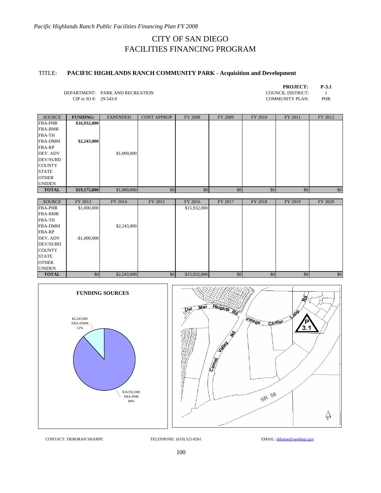# TITLE: **PACIFIC HIGHLANDS RANCH COMMUNITY PARK - Acquisition and Development**

| <b>PROJECT:</b> | P-3.1 |
|-----------------|-------|
| NCII NICTDICT.  |       |

DEPARTMENT: PARK AND RECREATION COUNCIL DISTRICT: 1<br>CIP or JO #: 29-543.0 COMMUNITY PLAN: PHR CIP or JO #:  $29-543.0$ 

| <b>SOURCE</b>  | <b>FUNDING:</b> | <b>EXPENDED</b> | <b>CONT APPROP</b> | FY 2008 | FY 2009 | FY 2010 | FY 2011 | FY 2012 |
|----------------|-----------------|-----------------|--------------------|---------|---------|---------|---------|---------|
| <b>FBA-PHR</b> | \$16,932,000    |                 |                    |         |         |         |         |         |
| <b>FBA-BMR</b> |                 |                 |                    |         |         |         |         |         |
| <b>FBA-TH</b>  |                 |                 |                    |         |         |         |         |         |
| <b>FBA-DMM</b> | \$2,243,000     |                 |                    |         |         |         |         |         |
| <b>FBA-RP</b>  |                 |                 |                    |         |         |         |         |         |
| DEV. ADV       |                 | \$1,000,000     |                    |         |         |         |         |         |
| DEV/SUBD       |                 |                 |                    |         |         |         |         |         |
| <b>COUNTY</b>  |                 |                 |                    |         |         |         |         |         |
| <b>STATE</b>   |                 |                 |                    |         |         |         |         |         |
| <b>OTHER</b>   |                 |                 |                    |         |         |         |         |         |
| <b>UNIDEN</b>  |                 |                 |                    |         |         |         |         |         |
| <b>TOTAL</b>   | \$19,175,000    | \$1,000,000     | \$0                | \$0     | \$0     | \$0     | \$0     | \$0     |
|                |                 |                 |                    |         |         |         |         |         |

| <b>SOURCE</b>   | FY 2013       | FY 2014     | FY 2015 | FY 2016      | FY 2017 | FY 2018 | FY 2019 | FY 2020 |
|-----------------|---------------|-------------|---------|--------------|---------|---------|---------|---------|
| <b>FBA-PHR</b>  | \$1,000,000   |             |         | \$15,932,000 |         |         |         |         |
| <b>FBA-BMR</b>  |               |             |         |              |         |         |         |         |
| <b>FBA-TH</b>   |               |             |         |              |         |         |         |         |
| <b>FBA-DMM</b>  |               | \$2,243,000 |         |              |         |         |         |         |
| <b>FBA-RP</b>   |               |             |         |              |         |         |         |         |
| DEV. ADV        | $-$1,000,000$ |             |         |              |         |         |         |         |
| <b>DEV/SUBD</b> |               |             |         |              |         |         |         |         |
| <b>COUNTY</b>   |               |             |         |              |         |         |         |         |
| <b>STATE</b>    |               |             |         |              |         |         |         |         |
| <b>OTHER</b>    |               |             |         |              |         |         |         |         |
| <b>UNIDEN</b>   |               |             |         |              |         |         |         |         |
| <b>TOTAL</b>    | \$0           | \$2,243,000 | \$0     | \$15,932,000 | \$0     | \$0     | \$0     | \$0     |

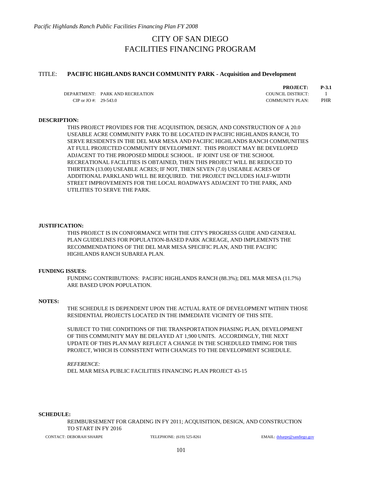### TITLE: **PACIFIC HIGHLANDS RANCH COMMUNITY PARK - Acquisition and Development**

DEPARTMENT: PARK AND RECREATION COUNCIL DISTRICT: 1 CIP or JO #: 29-543.0 COMMUNITY PLAN: PHR

**PROJECT: P-3.1**

### **DESCRIPTION:**

THIS PROJECT PROVIDES FOR THE ACQUISITION, DESIGN, AND CONSTRUCTION OF A 20.0 USEABLE ACRE COMMUNITY PARK TO BE LOCATED IN PACIFIC HIGHLANDS RANCH, TO SERVE RESIDENTS IN THE DEL MAR MESA AND PACIFIC HIGHLANDS RANCH COMMUNITIES AT FULL PROJECTED COMMUNITY DEVELOPMENT. THIS PROJECT MAY BE DEVELOPED ADJACENT TO THE PROPOSED MIDDLE SCHOOL. IF JOINT USE OF THE SCHOOL RECREATIONAL FACILITIES IS OBTAINED, THEN THIS PROJECT WILL BE REDUCED TO THIRTEEN (13.00) USEABLE ACRES; IF NOT, THEN SEVEN (7.0) USEABLE ACRES OF ADDITIONAL PARKLAND WILL BE REQUIRED. THE PROJECT INCLUDES HALF-WIDTH STREET IMPROVEMENTS FOR THE LOCAL ROADWAYS ADJACENT TO THE PARK, AND UTILITIES TO SERVE THE PARK.

### **JUSTIFICATION:**

THIS PROJECT IS IN CONFORMANCE WITH THE CITY'S PROGRESS GUIDE AND GENERAL PLAN GUIDELINES FOR POPULATION-BASED PARK ACREAGE, AND IMPLEMENTS THE RECOMMENDATIONS OF THE DEL MAR MESA SPECIFIC PLAN, AND THE PACIFIC HIGHLANDS RANCH SUBAREA PLAN.

#### **FUNDING ISSUES:**

FUNDING CONTRIBUTIONS: PACIFIC HIGHLANDS RANCH (88.3%); DEL MAR MESA (11.7%) ARE BASED UPON POPULATION.

### **NOTES:**

THE SCHEDULE IS DEPENDENT UPON THE ACTUAL RATE OF DEVELOPMENT WITHIN THOSE RESIDENTIAL PROJECTS LOCATED IN THE IMMEDIATE VICINITY OF THIS SITE.

SUBJECT TO THE CONDITIONS OF THE TRANSPORTATION PHASING PLAN, DEVELOPMENT OF THIS COMMUNITY MAY BE DELAYED AT 1,900 UNITS. ACCORDINGLY, THE NEXT UPDATE OF THIS PLAN MAY REFLECT A CHANGE IN THE SCHEDULED TIMING FOR THIS PROJECT, WHICH IS CONSISTENT WITH CHANGES TO THE DEVELOPMENT SCHEDULE.

*REFERENCE:*  DEL MAR MESA PUBLIC FACILITIES FINANCING PLAN PROJECT 43-15

### **SCHEDULE:**

REIMBURSEMENT FOR GRADING IN FY 2011; ACQUISITION, DESIGN, AND CONSTRUCTION TO START IN FY 2016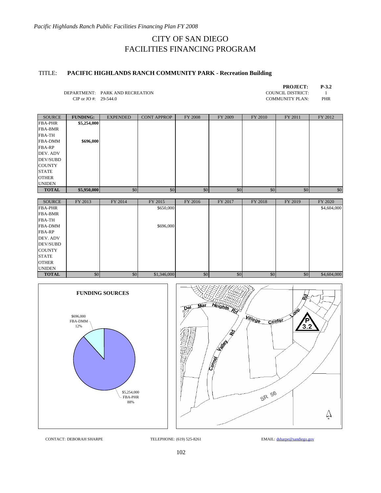# TITLE: **PACIFIC HIGHLANDS RANCH COMMUNITY PARK - Recreation Building**

| <b>PROJECT:</b>  | P-3.2 |
|------------------|-------|
| )UNCIL DISTRICT: |       |

DEPARTMENT: PARK AND RECREATION COUNCIL DISTRICT: 1<br>CIP or JO #: 29-544.0 COUNCIL DISTRICT: 1 CIP or JO #:  $29-544.0$ 

| <b>SOURCE</b>   | <b>FUNDING:</b> | <b>EXPENDED</b> | <b>CONT APPROP</b> | <b>FY 2008</b> | FY 2009 | FY 2010 | FY 2011 | FY 2012 |
|-----------------|-----------------|-----------------|--------------------|----------------|---------|---------|---------|---------|
| <b>FBA-PHR</b>  | \$5,254,000     |                 |                    |                |         |         |         |         |
| <b>FBA-BMR</b>  |                 |                 |                    |                |         |         |         |         |
| <b>FBA-TH</b>   |                 |                 |                    |                |         |         |         |         |
| <b>FBA-DMM</b>  | \$696,000       |                 |                    |                |         |         |         |         |
| <b>FBA-RP</b>   |                 |                 |                    |                |         |         |         |         |
| DEV. ADV        |                 |                 |                    |                |         |         |         |         |
| <b>DEV/SUBD</b> |                 |                 |                    |                |         |         |         |         |
| <b>COUNTY</b>   |                 |                 |                    |                |         |         |         |         |
| <b>STATE</b>    |                 |                 |                    |                |         |         |         |         |
| <b>OTHER</b>    |                 |                 |                    |                |         |         |         |         |
| <b>UNIDEN</b>   |                 |                 |                    |                |         |         |         |         |
| <b>TOTAL</b>    | \$5,950,000     | \$0             | \$0                | \$0            | \$0     | \$0     | \$0     | \$0     |

| <b>SOURCE</b>  | FY 2013 | FY 2014 | FY 2015     | FY 2016 | FY 2017 | FY 2018 | FY 2019 | FY 2020     |
|----------------|---------|---------|-------------|---------|---------|---------|---------|-------------|
| <b>FBA-PHR</b> |         |         | \$650,000   |         |         |         |         | \$4,604,000 |
| <b>FBA-BMR</b> |         |         |             |         |         |         |         |             |
| <b>FBA-TH</b>  |         |         |             |         |         |         |         |             |
| <b>FBA-DMM</b> |         |         | \$696,000   |         |         |         |         |             |
| <b>FBA-RP</b>  |         |         |             |         |         |         |         |             |
| DEV. ADV       |         |         |             |         |         |         |         |             |
| DEV/SUBD       |         |         |             |         |         |         |         |             |
| <b>COUNTY</b>  |         |         |             |         |         |         |         |             |
| <b>STATE</b>   |         |         |             |         |         |         |         |             |
| <b>OTHER</b>   |         |         |             |         |         |         |         |             |
| <b>UNIDEN</b>  |         |         |             |         |         |         |         |             |
| <b>TOTAL</b>   | \$0     | \$0     | \$1,346,000 | \$0     | \$0     | \$0     | \$0     | \$4,604,000 |

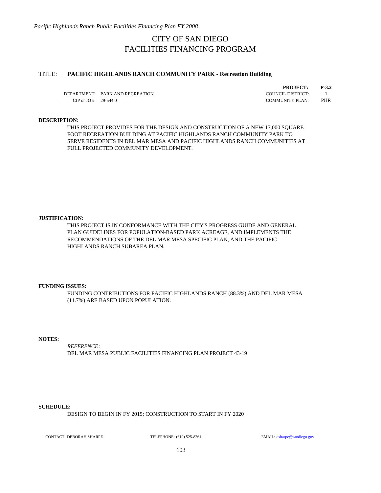## TITLE: **PACIFIC HIGHLANDS RANCH COMMUNITY PARK - Recreation Building**

DEPARTMENT: PARK AND RECREATION COUNCIL DISTRICT: 1 CIP or JO #: 29-544.0 COMMUNITY PLAN: PHR

**PROJECT: P-3.2**

## **DESCRIPTION:**

THIS PROJECT PROVIDES FOR THE DESIGN AND CONSTRUCTION OF A NEW 17,000 SQUARE FOOT RECREATION BUILDING AT PACIFIC HIGHLANDS RANCH COMMUNITY PARK TO SERVE RESIDENTS IN DEL MAR MESA AND PACIFIC HIGHLANDS RANCH COMMUNITIES AT FULL PROJECTED COMMUNITY DEVELOPMENT.

### **JUSTIFICATION:**

THIS PROJECT IS IN CONFORMANCE WITH THE CITY'S PROGRESS GUIDE AND GENERAL PLAN GUIDELINES FOR POPULATION-BASED PARK ACREAGE, AND IMPLEMENTS THE RECOMMENDATIONS OF THE DEL MAR MESA SPECIFIC PLAN, AND THE PACIFIC HIGHLANDS RANCH SUBAREA PLAN.

### **FUNDING ISSUES:**

FUNDING CONTRIBUTIONS FOR PACIFIC HIGHLANDS RANCH (88.3%) AND DEL MAR MESA (11.7%) ARE BASED UPON POPULATION.

**NOTES:**

*REFERENCE*: DEL MAR MESA PUBLIC FACILITIES FINANCING PLAN PROJECT 43-19

#### **SCHEDULE:**

DESIGN TO BEGIN IN FY 2015; CONSTRUCTION TO START IN FY 2020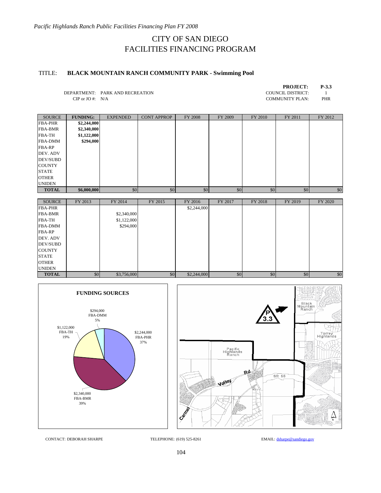# TITLE: **BLACK MOUNTAIN RANCH COMMUNITY PARK - Swimming Pool**

| <b>PROJECT:</b>   | P-3.3 |
|-------------------|-------|
| COUNCIL DISTRICT: |       |
| COMMUNITY PLAN:   | PHR   |

DEPARTMENT: PARK AND RECREATION CIP or JO #:  $N/A$ 

| the company of the company of the company of the | <b><i><u>Property Association</u></i></b> | ________        | ________           |         |         | <u>in the company of the company of the company of the company of the company of the company of the company of the company of the company of the company of the company of the company of the company of the company of the comp</u> |         | -------- |
|--------------------------------------------------|-------------------------------------------|-----------------|--------------------|---------|---------|--------------------------------------------------------------------------------------------------------------------------------------------------------------------------------------------------------------------------------------|---------|----------|
|                                                  |                                           |                 |                    |         |         |                                                                                                                                                                                                                                      |         |          |
| <b>TOTAL</b>                                     | \$6,000,000                               | \$0             | \$0                | \$0     | \$0     | \$0                                                                                                                                                                                                                                  | \$0     | \$0      |
| <b>UNIDEN</b>                                    |                                           |                 |                    |         |         |                                                                                                                                                                                                                                      |         |          |
| <b>OTHER</b>                                     |                                           |                 |                    |         |         |                                                                                                                                                                                                                                      |         |          |
| <b>STATE</b>                                     |                                           |                 |                    |         |         |                                                                                                                                                                                                                                      |         |          |
| <b>COUNTY</b>                                    |                                           |                 |                    |         |         |                                                                                                                                                                                                                                      |         |          |
| <b>DEV/SUBD</b>                                  |                                           |                 |                    |         |         |                                                                                                                                                                                                                                      |         |          |
| DEV. ADV                                         |                                           |                 |                    |         |         |                                                                                                                                                                                                                                      |         |          |
| <b>FBA-RP</b>                                    |                                           |                 |                    |         |         |                                                                                                                                                                                                                                      |         |          |
| <b>FBA-DMM</b>                                   | \$294,000                                 |                 |                    |         |         |                                                                                                                                                                                                                                      |         |          |
| <b>FBA-TH</b>                                    | \$1,122,000                               |                 |                    |         |         |                                                                                                                                                                                                                                      |         |          |
| <b>FBA-BMR</b>                                   | \$2,340,000                               |                 |                    |         |         |                                                                                                                                                                                                                                      |         |          |
| <b>FBA-PHR</b>                                   | \$2,244,000                               |                 |                    |         |         |                                                                                                                                                                                                                                      |         |          |
| <b>SOURCE</b>                                    | <b>FUNDING:</b>                           | <b>EXPENDED</b> | <b>CONT APPROP</b> | FY 2008 | FY 2009 | FY 2010                                                                                                                                                                                                                              | FY 2011 | FY 2012  |

| <b>SOURCE</b>   | FY 2013 | FY 2014     | FY 2015 | FY 2016     | FY 2017 | FY 2018 | FY 2019 | FY 2020 |
|-----------------|---------|-------------|---------|-------------|---------|---------|---------|---------|
| <b>FBA-PHR</b>  |         |             |         | \$2,244,000 |         |         |         |         |
| <b>FBA-BMR</b>  |         | \$2,340,000 |         |             |         |         |         |         |
| <b>FBA-TH</b>   |         | \$1,122,000 |         |             |         |         |         |         |
| <b>FBA-DMM</b>  |         | \$294,000   |         |             |         |         |         |         |
| <b>FBA-RP</b>   |         |             |         |             |         |         |         |         |
| DEV. ADV        |         |             |         |             |         |         |         |         |
| <b>DEV/SUBD</b> |         |             |         |             |         |         |         |         |
| <b>COUNTY</b>   |         |             |         |             |         |         |         |         |
| <b>STATE</b>    |         |             |         |             |         |         |         |         |
| <b>OTHER</b>    |         |             |         |             |         |         |         |         |
| <b>UNIDEN</b>   |         |             |         |             |         |         |         |         |
| <b>TOTAL</b>    | \$0     | \$3,756,000 | \$0     | \$2,244,000 | \$0     | \$0     | \$0     | \$0     |



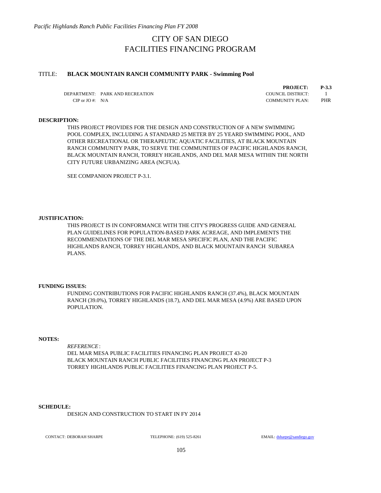### TITLE: **BLACK MOUNTAIN RANCH COMMUNITY PARK - Swimming Pool**

DEPARTMENT: PARK AND RECREATION COUNCIL DISTRICT: 1 CIP or JO #: N/A COMMUNITY PLAN: PHR

**PROJECT: P-3.3**

### **DESCRIPTION:**

THIS PROJECT PROVIDES FOR THE DESIGN AND CONSTRUCTION OF A NEW SWIMMING POOL COMPLEX, INCLUDING A STANDARD 25 METER BY 25 YEARD SWIMMING POOL, AND OTHER RECREATIONAL OR THERAPEUTIC AQUATIC FACILITIES, AT BLACK MOUNTAIN RANCH COMMUNITY PARK, TO SERVE THE COMMUNITIES OF PACIFIC HIGHLANDS RANCH, BLACK MOUNTAIN RANCH, TORREY HIGHLANDS, AND DEL MAR MESA WITHIN THE NORTH CITY FUTURE URBANIZING AREA (NCFUA).

SEE COMPANION PROJECT P-3.1.

#### **JUSTIFICATION:**

THIS PROJECT IS IN CONFORMANCE WITH THE CITY'S PROGRESS GUIDE AND GENERAL PLAN GUIDELINES FOR POPULATION-BASED PARK ACREAGE, AND IMPLEMENTS THE RECOMMENDATIONS OF THE DEL MAR MESA SPECIFIC PLAN, AND THE PACIFIC HIGHLANDS RANCH, TORREY HIGHLANDS, AND BLACK MOUNTAIN RANCH SUBAREA PLANS.

#### **FUNDING ISSUES:**

FUNDING CONTRIBUTIONS FOR PACIFIC HIGHLANDS RANCH (37.4%), BLACK MOUNTAIN RANCH (39.0%), TORREY HIGHLANDS (18.7), AND DEL MAR MESA (4.9%) ARE BASED UPON POPULATION.

#### **NOTES:**

*REFERENCE*: DEL MAR MESA PUBLIC FACILITIES FINANCING PLAN PROJECT 43-20 BLACK MOUNTAIN RANCH PUBLIC FACILITIES FINANCING PLAN PROJECT P-3 TORREY HIGHLANDS PUBLIC FACILITIES FINANCING PLAN PROJECT P-5.

#### **SCHEDULE:**

DESIGN AND CONSTRUCTION TO START IN FY 2014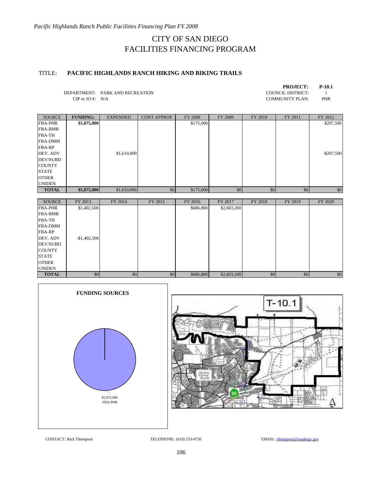# TITLE: **PACIFIC HIGHLANDS RANCH HIKING AND BIKING TRAILS**

| <b>PROJECT:</b>   | $P-10.1$ |
|-------------------|----------|
| COUNCIL DISTRICT: |          |
| COMMUNITY PLAN:   | PHR      |

DEPARTMENT: PARK AND RECREATION CIP or JO #:  $N/A$ 

| <b>SOURCE</b>   | <b>FUNDING:</b> | <b>EXPENDED</b> | <b>CONT APPROP</b> | FY 2008   | FY 2009 | FY 2010 | FY 2011 | FY 2012       |
|-----------------|-----------------|-----------------|--------------------|-----------|---------|---------|---------|---------------|
| <b>FBA-PHR</b>  | \$5,075,000     |                 |                    | \$175,000 |         |         |         | \$207,500     |
| <b>FBA-BMR</b>  |                 |                 |                    |           |         |         |         |               |
| <b>FBA-TH</b>   |                 |                 |                    |           |         |         |         |               |
| <b>FBA-DMM</b>  |                 |                 |                    |           |         |         |         |               |
| <b>FBA-RP</b>   |                 |                 |                    |           |         |         |         |               |
| DEV. ADV        |                 | \$1,610,000     |                    |           |         |         |         | $-$ \$207,500 |
| <b>DEV/SUBD</b> |                 |                 |                    |           |         |         |         |               |
| <b>COUNTY</b>   |                 |                 |                    |           |         |         |         |               |
| <b>STATE</b>    |                 |                 |                    |           |         |         |         |               |
| <b>OTHER</b>    |                 |                 |                    |           |         |         |         |               |
| <b>UNIDEN</b>   |                 |                 |                    |           |         |         |         |               |
| <b>TOTAL</b>    | \$5,075,000     | \$1,610,000     | \$0                | \$175,000 | \$0     | \$0     | \$0     | \$0           |

| <b>SOURCE</b>   | FY 2013       | FY 2014 | FY 2015 | FY 2016   | FY 2017     | FY 2018 | FY 2019 | FY 2020 |
|-----------------|---------------|---------|---------|-----------|-------------|---------|---------|---------|
| <b>FBA-PHR</b>  | \$1,402,500   |         |         | \$686,800 | \$2,603,200 |         |         |         |
| <b>FBA-BMR</b>  |               |         |         |           |             |         |         |         |
| <b>FBA-TH</b>   |               |         |         |           |             |         |         |         |
| <b>FBA-DMM</b>  |               |         |         |           |             |         |         |         |
| <b>FBA-RP</b>   |               |         |         |           |             |         |         |         |
| DEV. ADV        | $-$1,402,500$ |         |         |           |             |         |         |         |
| <b>DEV/SUBD</b> |               |         |         |           |             |         |         |         |
| <b>COUNTY</b>   |               |         |         |           |             |         |         |         |
| <b>STATE</b>    |               |         |         |           |             |         |         |         |
| <b>OTHER</b>    |               |         |         |           |             |         |         |         |
| <b>UNIDEN</b>   |               |         |         |           |             |         |         |         |
| <b>TOTAL</b>    | \$0           | \$0     | \$0     | \$686,800 | \$2,603,200 | \$0     | \$0     | \$0     |





CONTACT: Rick Thompson TELEPHONE: (619) 533-6756 EMAIL: rthompson@sandiego.gov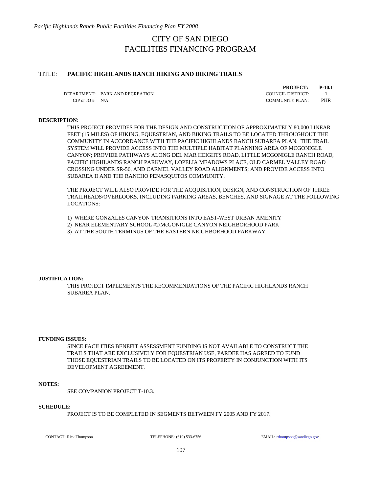## TITLE: **PACIFIC HIGHLANDS RANCH HIKING AND BIKING TRAILS**

DEPARTMENT: PARK AND RECREATION COUNCIL DISTRICT: 1 CIP or JO #: N/A COMMUNITY PLAN: PHR

**PROJECT: P-10.1**

## **DESCRIPTION:**

THIS PROJECT PROVIDES FOR THE DESIGN AND CONSTRUCTION OF APPROXIMATELY 80,000 LINEAR FEET (15 MILES) OF HIKING, EQUESTRIAN, AND BIKING TRAILS TO BE LOCATED THROUGHOUT THE COMMUNITY IN ACCORDANCE WITH THE PACIFIC HIGHLANDS RANCH SUBAREA PLAN. THE TRAIL SYSTEM WILL PROVIDE ACCESS INTO THE MULTIPLE HABITAT PLANNING AREA OF MCGONIGLE CANYON; PROVIDE PATHWAYS ALONG DEL MAR HEIGHTS ROAD, LITTLE MCGONIGLE RANCH ROAD, PACIFIC HIGHLANDS RANCH PARKWAY, LOPELIA MEADOWS PLACE, OLD CARMEL VALLEY ROAD CROSSING UNDER SR-56, AND CARMEL VALLEY ROAD ALIGNMENTS; AND PROVIDE ACCESS INTO SUBAREA II AND THE RANCHO PENASQUITOS COMMUNITY.

THE PROJECT WILL ALSO PROVIDE FOR THE ACQUISITION, DESIGN, AND CONSTRUCTION OF THREE TRAILHEADS/OVERLOOKS, INCLUDING PARKING AREAS, BENCHES, AND SIGNAGE AT THE FOLLOWING LOCATIONS:

1) WHERE GONZALES CANYON TRANSITIONS INTO EAST-WEST URBAN AMENITY

2) NEAR ELEMENTARY SCHOOL #2/McGONIGLE CANYON NEIGHBORHOOD PARK

3) AT THE SOUTH TERMINUS OF THE EASTERN NEIGHBORHOOD PARKWAY

#### **JUSTIFICATION:**

THIS PROJECT IMPLEMENTS THE RECOMMENDATIONS OF THE PACIFIC HIGHLANDS RANCH SUBAREA PLAN.

### **FUNDING ISSUES:**

SINCE FACILITIES BENEFIT ASSESSMENT FUNDING IS NOT AVAILABLE TO CONSTRUCT THE TRAILS THAT ARE EXCLUSIVELY FOR EQUESTRIAN USE, PARDEE HAS AGREED TO FUND THOSE EQUESTRIAN TRAILS TO BE LOCATED ON ITS PROPERTY IN CONJUNCTION WITH ITS DEVELOPMENT AGREEMENT.

#### **NOTES:**

SEE COMPANION PROJECT T-10.3.

#### **SCHEDULE:**

PROJECT IS TO BE COMPLETED IN SEGMENTS BETWEEN FY 2005 AND FY 2017.

CONTACT: Rick Thompson TELEPHONE: (619) 533-6756 EMAIL: rthompson@sandiego.gov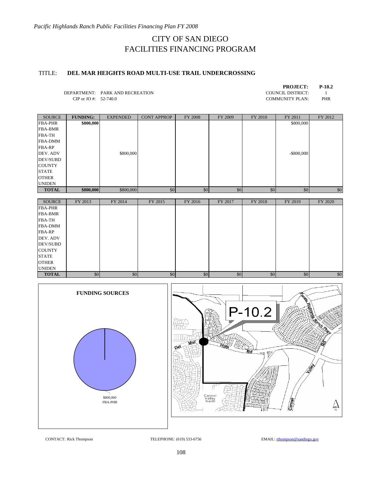# TITLE: **DEL MAR HEIGHTS ROAD MULTI-USE TRAIL UNDERCROSSING**

| <b>PROJECT:</b>        | $P-10.2$ |
|------------------------|----------|
| COUNCIL DISTRICT:      |          |
| <b>COMMUNITY PLAN:</b> | PHR      |

DEPARTMENT: PARK AND RECREATION CIP or JO #:  $52-740.0$ 

| <b>SOURCE</b>   | <b>FUNDING:</b> | <b>EXPENDED</b> | <b>CONT APPROP</b> | <b>FY 2008</b> | FY 2009 | FY 2010 | FY 2011       | FY 2012 |
|-----------------|-----------------|-----------------|--------------------|----------------|---------|---------|---------------|---------|
| <b>FBA-PHR</b>  | \$800,000       |                 |                    |                |         |         | \$800,000     |         |
| <b>FBA-BMR</b>  |                 |                 |                    |                |         |         |               |         |
| <b>FBA-TH</b>   |                 |                 |                    |                |         |         |               |         |
| <b>FBA-DMM</b>  |                 |                 |                    |                |         |         |               |         |
| <b>FBA-RP</b>   |                 |                 |                    |                |         |         |               |         |
| DEV. ADV        |                 | \$800,000       |                    |                |         |         | $-$ \$800,000 |         |
| <b>DEV/SUBD</b> |                 |                 |                    |                |         |         |               |         |
| <b>COUNTY</b>   |                 |                 |                    |                |         |         |               |         |
| <b>STATE</b>    |                 |                 |                    |                |         |         |               |         |
| <b>OTHER</b>    |                 |                 |                    |                |         |         |               |         |
| <b>UNIDEN</b>   |                 |                 |                    |                |         |         |               |         |
| <b>TOTAL</b>    | \$800,000       | \$800,000       | \$0                | \$0            | \$0     | \$0     | \$0           | \$0     |

| <b>SOURCE</b>   | FY 2013 | FY 2014 | FY 2015 | FY 2016 | FY 2017 | FY 2018 | FY 2019 | FY 2020 |
|-----------------|---------|---------|---------|---------|---------|---------|---------|---------|
| <b>FBA-PHR</b>  |         |         |         |         |         |         |         |         |
| <b>FBA-BMR</b>  |         |         |         |         |         |         |         |         |
| <b>FBA-TH</b>   |         |         |         |         |         |         |         |         |
| <b>FBA-DMM</b>  |         |         |         |         |         |         |         |         |
| <b>FBA-RP</b>   |         |         |         |         |         |         |         |         |
| DEV. ADV        |         |         |         |         |         |         |         |         |
| <b>DEV/SUBD</b> |         |         |         |         |         |         |         |         |
| <b>COUNTY</b>   |         |         |         |         |         |         |         |         |
| <b>STATE</b>    |         |         |         |         |         |         |         |         |
| <b>OTHER</b>    |         |         |         |         |         |         |         |         |
| <b>UNIDEN</b>   |         |         |         |         |         |         |         |         |
| <b>TOTAL</b>    | \$0     | \$0     | \$0     | \$0     | \$0     | \$0     | \$0     | \$0     |

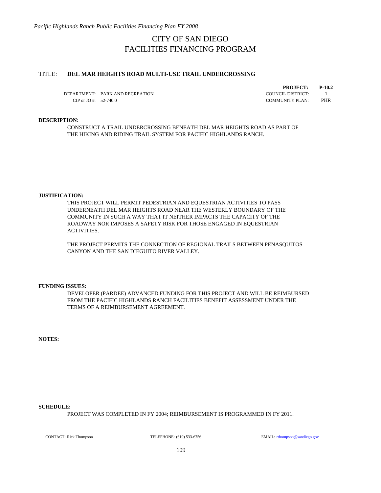## TITLE: **DEL MAR HEIGHTS ROAD MULTI-USE TRAIL UNDERCROSSING**

DEPARTMENT: PARK AND RECREATION COUNCIL DISTRICT: 1 CIP or JO #: 52-740.0 COMMUNITY PLAN: PHR

**PROJECT: P-10.2**

### **DESCRIPTION:**

CONSTRUCT A TRAIL UNDERCROSSING BENEATH DEL MAR HEIGHTS ROAD AS PART OF THE HIKING AND RIDING TRAIL SYSTEM FOR PACIFIC HIGHLANDS RANCH.

### **JUSTIFICATION:**

THIS PROJECT WILL PERMIT PEDESTRIAN AND EQUESTRIAN ACTIVITIES TO PASS UNDERNEATH DEL MAR HEIGHTS ROAD NEAR THE WESTERLY BOUNDARY OF THE COMMUNITY IN SUCH A WAY THAT IT NEITHER IMPACTS THE CAPACITY OF THE ROADWAY NOR IMPOSES A SAFETY RISK FOR THOSE ENGAGED IN EQUESTRIAN ACTIVITIES.

THE PROJECT PERMITS THE CONNECTION OF REGIONAL TRAILS BETWEEN PENASQUITOS CANYON AND THE SAN DIEGUITO RIVER VALLEY.

#### **FUNDING ISSUES:**

DEVELOPER (PARDEE) ADVANCED FUNDING FOR THIS PROJECT AND WILL BE REIMBURSED FROM THE PACIFIC HIGHLANDS RANCH FACILITIES BENEFIT ASSESSMENT UNDER THE TERMS OF A REIMBURSEMENT AGREEMENT.

**NOTES:**

#### **SCHEDULE:**

PROJECT WAS COMPLETED IN FY 2004; REIMBURSEMENT IS PROGRAMMED IN FY 2011.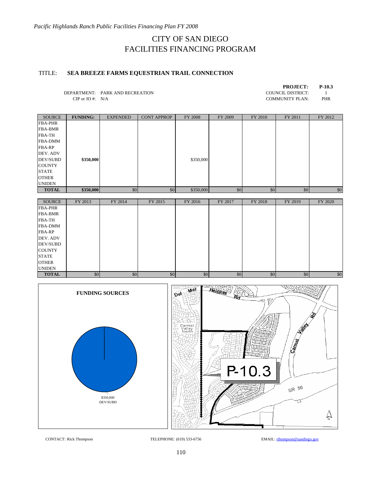# TITLE: **SEA BREEZE FARMS EQUESTRIAN TRAIL CONNECTION**

|              |                                 | <b>PROJECT:</b>        | $P-10.3$ |
|--------------|---------------------------------|------------------------|----------|
|              | DEPARTMENT: PARK AND RECREATION | COUNCIL DISTRICT:      |          |
| CIP or JO #: | N/A                             | <b>COMMUNITY PLAN:</b> | PHR      |

| <b>SOURCE</b>   | <b>FUNDING:</b> | <b>EXPENDED</b> | <b>CONT APPROP</b> | <b>FY 2008</b> | FY 2009 | FY 2010 | FY 2011 | FY 2012 |
|-----------------|-----------------|-----------------|--------------------|----------------|---------|---------|---------|---------|
| <b>FBA-PHR</b>  |                 |                 |                    |                |         |         |         |         |
| <b>FBA-BMR</b>  |                 |                 |                    |                |         |         |         |         |
| <b>FBA-TH</b>   |                 |                 |                    |                |         |         |         |         |
| <b>FBA-DMM</b>  |                 |                 |                    |                |         |         |         |         |
| <b>FBA-RP</b>   |                 |                 |                    |                |         |         |         |         |
| DEV. ADV        |                 |                 |                    |                |         |         |         |         |
| <b>DEV/SUBD</b> | \$350,000       |                 |                    | \$350,000      |         |         |         |         |
| <b>COUNTY</b>   |                 |                 |                    |                |         |         |         |         |
| <b>STATE</b>    |                 |                 |                    |                |         |         |         |         |
| <b>OTHER</b>    |                 |                 |                    |                |         |         |         |         |
| <b>UNIDEN</b>   |                 |                 |                    |                |         |         |         |         |
| <b>TOTAL</b>    | \$350,000       | \$0             | \$0                | \$350,000      | \$0     | \$0     | \$0     | \$0     |
|                 |                 |                 |                    |                |         |         |         |         |

| <b>SOURCE</b>   | FY 2013 | FY 2014 | FY 2015 | FY 2016 | FY 2017 | FY 2018 | FY 2019 | FY 2020 |
|-----------------|---------|---------|---------|---------|---------|---------|---------|---------|
| <b>FBA-PHR</b>  |         |         |         |         |         |         |         |         |
| <b>FBA-BMR</b>  |         |         |         |         |         |         |         |         |
| <b>FBA-TH</b>   |         |         |         |         |         |         |         |         |
| <b>FBA-DMM</b>  |         |         |         |         |         |         |         |         |
| <b>FBA-RP</b>   |         |         |         |         |         |         |         |         |
| DEV. ADV        |         |         |         |         |         |         |         |         |
| <b>DEV/SUBD</b> |         |         |         |         |         |         |         |         |
| <b>COUNTY</b>   |         |         |         |         |         |         |         |         |
| <b>STATE</b>    |         |         |         |         |         |         |         |         |
| <b>OTHER</b>    |         |         |         |         |         |         |         |         |
| <b>UNIDEN</b>   |         |         |         |         |         |         |         |         |
| <b>TOTAL</b>    | \$0     | \$0     | \$0     | \$0     | \$0     | \$0     | \$0     | \$0     |



CONTACT: Rick Thompson TELEPHONE: (619) 533-6756 EMAIL: rthompson@sandiego.gov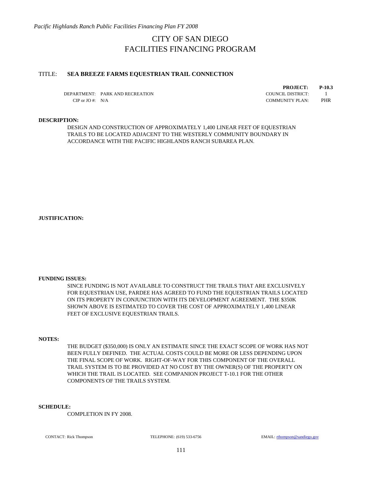*Pacific Highlands Ranch Public Facilities Financing Plan FY 2008* 

# CITY OF SAN DIEGO FACILITIES FINANCING PROGRAM

## TITLE: **SEA BREEZE FARMS EQUESTRIAN TRAIL CONNECTION**

DEPARTMENT: PARK AND RECREATION COUNCIL DISTRICT: 1 CIP or JO #: N/A COMMUNITY PLAN: PHR

**PROJECT: P-10.3**

## **DESCRIPTION:**

DESIGN AND CONSTRUCTION OF APPROXIMATELY 1,400 LINEAR FEET OF EQUESTRIAN TRAILS TO BE LOCATED ADJACENT TO THE WESTERLY COMMUNITY BOUNDARY IN ACCORDANCE WITH THE PACIFIC HIGHLANDS RANCH SUBAREA PLAN.

**JUSTIFICATION:**

### **FUNDING ISSUES:**

SINCE FUNDING IS NOT AVAILABLE TO CONSTRUCT THE TRAILS THAT ARE EXCLUSIVELY FOR EQUESTRIAN USE, PARDEE HAS AGREED TO FUND THE EQUESTRIAN TRAILS LOCATED ON ITS PROPERTY IN CONJUNCTION WITH ITS DEVELOPMENT AGREEMENT. THE \$350K SHOWN ABOVE IS ESTIMATED TO COVER THE COST OF APPROXIMATELY 1,400 LINEAR FEET OF EXCLUSIVE EQUESTRIAN TRAILS.

### **NOTES:**

THE BUDGET (\$350,000) IS ONLY AN ESTIMATE SINCE THE EXACT SCOPE OF WORK HAS NOT BEEN FULLY DEFINED. THE ACTUAL COSTS COULD BE MORE OR LESS DEPENDING UPON THE FINAL SCOPE OF WORK. RIGHT-OF-WAY FOR THIS COMPONENT OF THE OVERALL TRAIL SYSTEM IS TO BE PROVIDED AT NO COST BY THE OWNER(S) OF THE PROPERTY ON WHICH THE TRAIL IS LOCATED. SEE COMPANION PROJECT T-10.1 FOR THE OTHER COMPONENTS OF THE TRAILS SYSTEM.

### **SCHEDULE:**

COMPLETION IN FY 2008.